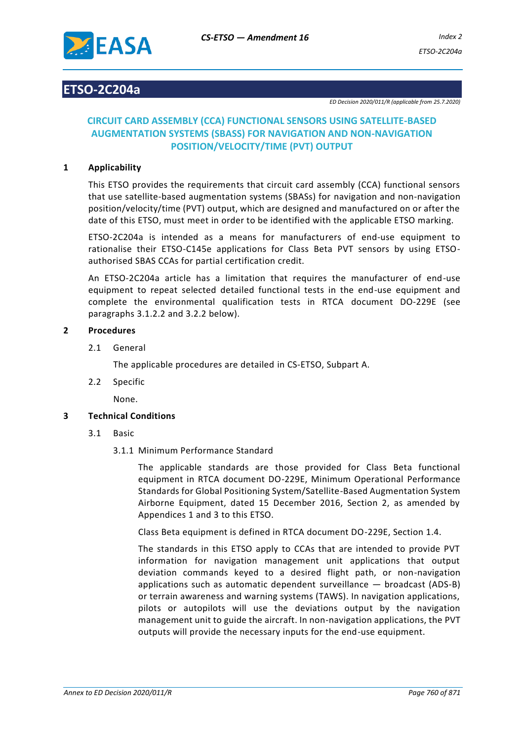

## **ETSO-2C204a**

*ED Decision 2020/011/R (applicable from 25.7.2020)*

### **CIRCUIT CARD ASSEMBLY (CCA) FUNCTIONAL SENSORS USING SATELLITE-BASED AUGMENTATION SYSTEMS (SBASS) FOR NAVIGATION AND NON-NAVIGATION POSITION/VELOCITY/TIME (PVT) OUTPUT**

#### **1 Applicability**

This ETSO provides the requirements that circuit card assembly (CCA) functional sensors that use satellite-based augmentation systems (SBASs) for navigation and non-navigation position/velocity/time (PVT) output, which are designed and manufactured on or after the date of this ETSO, must meet in order to be identified with the applicable ETSO marking.

ETSO-2C204a is intended as a means for manufacturers of end-use equipment to rationalise their ETSO-C145e applications for Class Beta PVT sensors by using ETSOauthorised SBAS CCAs for partial certification credit.

An ETSO-2C204a article has a limitation that requires the manufacturer of end-use equipment to repeat selected detailed functional tests in the end-use equipment and complete the environmental qualification tests in RTCA document DO-229E (see paragraphs 3.1.2.2 and 3.2.2 below).

#### **2 Procedures**

2.1 General

The applicable procedures are detailed in CS-ETSO, Subpart A.

2.2 Specific

None.

#### **3 Technical Conditions**

- 3.1 Basic
	- 3.1.1 Minimum Performance Standard

The applicable standards are those provided for Class Beta functional equipment in RTCA document DO-229E, Minimum Operational Performance Standards for Global Positioning System/Satellite-Based Augmentation System Airborne Equipment, dated 15 December 2016, Section 2, as amended by Appendices 1 and 3 to this ETSO.

Class Beta equipment is defined in RTCA document DO-229E, Section 1.4.

The standards in this ETSO apply to CCAs that are intended to provide PVT information for navigation management unit applications that output deviation commands keyed to a desired flight path, or non-navigation applications such as automatic dependent surveillance — broadcast (ADS-B) or terrain awareness and warning systems (TAWS). In navigation applications, pilots or autopilots will use the deviations output by the navigation management unit to guide the aircraft. In non-navigation applications, the PVT outputs will provide the necessary inputs for the end-use equipment.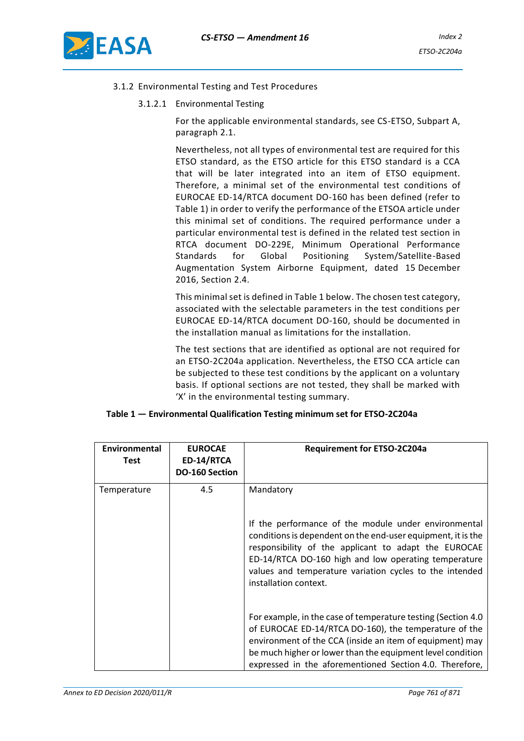

- 3.1.2 Environmental Testing and Test Procedures
	- 3.1.2.1 Environmental Testing

For the applicable environmental standards, see CS-ETSO, Subpart A, paragraph 2.1.

Nevertheless, not all types of environmental test are required for this ETSO standard, as the ETSO article for this ETSO standard is a CCA that will be later integrated into an item of ETSO equipment. Therefore, a minimal set of the environmental test conditions of EUROCAE ED-14/RTCA document DO-160 has been defined (refer to Table 1) in order to verify the performance of the ETSOA article under this minimal set of conditions. The required performance under a particular environmental test is defined in the related test section in RTCA document DO-229E, Minimum Operational Performance Standards for Global Positioning System/Satellite-Based Augmentation System Airborne Equipment, dated 15 December 2016, Section 2.4.

This minimal set is defined in Table 1 below. The chosen test category, associated with the selectable parameters in the test conditions per EUROCAE ED-14/RTCA document DO-160, should be documented in the installation manual as limitations for the installation.

The test sections that are identified as optional are not required for an ETSO-2C204a application. Nevertheless, the ETSO CCA article can be subjected to these test conditions by the applicant on a voluntary basis. If optional sections are not tested, they shall be marked with 'X' in the environmental testing summary.

| Table 1 – Environmental Qualification Testing minimum set for ETSO-2C204a |  |
|---------------------------------------------------------------------------|--|
|                                                                           |  |

| Environmental<br><b>Test</b> | <b>EUROCAE</b><br>ED-14/RTCA<br>DO-160 Section | <b>Requirement for ETSO-2C204a</b>                                                                                                                                                                                                                                                                                                    |
|------------------------------|------------------------------------------------|---------------------------------------------------------------------------------------------------------------------------------------------------------------------------------------------------------------------------------------------------------------------------------------------------------------------------------------|
| Temperature                  | 4.5                                            | Mandatory<br>If the performance of the module under environmental<br>conditions is dependent on the end-user equipment, it is the<br>responsibility of the applicant to adapt the EUROCAE<br>ED-14/RTCA DO-160 high and low operating temperature<br>values and temperature variation cycles to the intended<br>installation context. |
|                              |                                                | For example, in the case of temperature testing (Section 4.0)<br>of EUROCAE ED-14/RTCA DO-160), the temperature of the<br>environment of the CCA (inside an item of equipment) may<br>be much higher or lower than the equipment level condition<br>expressed in the aforementioned Section 4.0. Therefore,                           |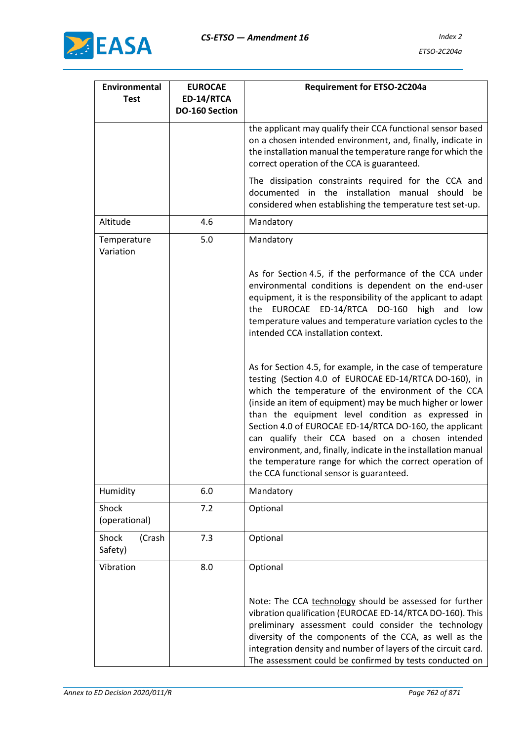

| Environmental<br><b>Test</b> | <b>EUROCAE</b><br>ED-14/RTCA<br><b>DO-160 Section</b> | <b>Requirement for ETSO-2C204a</b>                                                                                                                                                                                                                                                                                                                                                                                                                                                                                                                                                       |
|------------------------------|-------------------------------------------------------|------------------------------------------------------------------------------------------------------------------------------------------------------------------------------------------------------------------------------------------------------------------------------------------------------------------------------------------------------------------------------------------------------------------------------------------------------------------------------------------------------------------------------------------------------------------------------------------|
|                              |                                                       | the applicant may qualify their CCA functional sensor based<br>on a chosen intended environment, and, finally, indicate in<br>the installation manual the temperature range for which the<br>correct operation of the CCA is guaranteed.                                                                                                                                                                                                                                                                                                                                                 |
|                              |                                                       | The dissipation constraints required for the CCA and<br>documented in the installation manual should be<br>considered when establishing the temperature test set-up.                                                                                                                                                                                                                                                                                                                                                                                                                     |
| Altitude                     | 4.6                                                   | Mandatory                                                                                                                                                                                                                                                                                                                                                                                                                                                                                                                                                                                |
| Temperature<br>Variation     | $5.0$                                                 | Mandatory                                                                                                                                                                                                                                                                                                                                                                                                                                                                                                                                                                                |
|                              |                                                       | As for Section 4.5, if the performance of the CCA under<br>environmental conditions is dependent on the end-user<br>equipment, it is the responsibility of the applicant to adapt<br>EUROCAE ED-14/RTCA DO-160 high<br>and<br>the<br>low<br>temperature values and temperature variation cycles to the<br>intended CCA installation context.                                                                                                                                                                                                                                             |
|                              |                                                       | As for Section 4.5, for example, in the case of temperature<br>testing (Section 4.0 of EUROCAE ED-14/RTCA DO-160), in<br>which the temperature of the environment of the CCA<br>(inside an item of equipment) may be much higher or lower<br>than the equipment level condition as expressed in<br>Section 4.0 of EUROCAE ED-14/RTCA DO-160, the applicant<br>can qualify their CCA based on a chosen intended<br>environment, and, finally, indicate in the installation manual<br>the temperature range for which the correct operation of<br>the CCA functional sensor is guaranteed. |
| Humidity                     | 6.0                                                   | Mandatory                                                                                                                                                                                                                                                                                                                                                                                                                                                                                                                                                                                |
| Shock<br>(operational)       | 7.2                                                   | Optional                                                                                                                                                                                                                                                                                                                                                                                                                                                                                                                                                                                 |
| Shock<br>(Crash<br>Safety)   | 7.3                                                   | Optional                                                                                                                                                                                                                                                                                                                                                                                                                                                                                                                                                                                 |
| Vibration                    | 8.0                                                   | Optional                                                                                                                                                                                                                                                                                                                                                                                                                                                                                                                                                                                 |
|                              |                                                       | Note: The CCA technology should be assessed for further<br>vibration qualification (EUROCAE ED-14/RTCA DO-160). This<br>preliminary assessment could consider the technology<br>diversity of the components of the CCA, as well as the<br>integration density and number of layers of the circuit card.<br>The assessment could be confirmed by tests conducted on                                                                                                                                                                                                                       |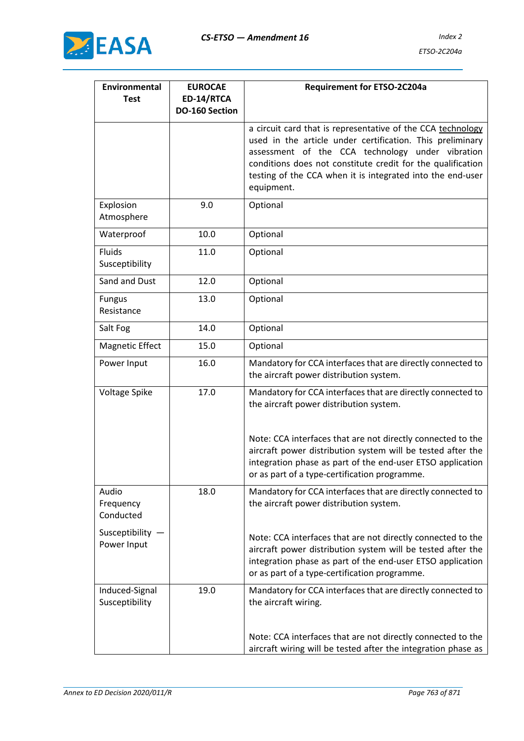

| Environmental<br><b>Test</b>     | <b>EUROCAE</b><br>ED-14/RTCA | Requirement for ETSO-2C204a                                                                                                                                                                                                                                                                                             |
|----------------------------------|------------------------------|-------------------------------------------------------------------------------------------------------------------------------------------------------------------------------------------------------------------------------------------------------------------------------------------------------------------------|
|                                  | DO-160 Section               |                                                                                                                                                                                                                                                                                                                         |
|                                  |                              | a circuit card that is representative of the CCA technology<br>used in the article under certification. This preliminary<br>assessment of the CCA technology under vibration<br>conditions does not constitute credit for the qualification<br>testing of the CCA when it is integrated into the end-user<br>equipment. |
| Explosion<br>Atmosphere          | 9.0                          | Optional                                                                                                                                                                                                                                                                                                                |
| Waterproof                       | 10.0                         | Optional                                                                                                                                                                                                                                                                                                                |
| <b>Fluids</b><br>Susceptibility  | 11.0                         | Optional                                                                                                                                                                                                                                                                                                                |
| Sand and Dust                    | 12.0                         | Optional                                                                                                                                                                                                                                                                                                                |
| <b>Fungus</b><br>Resistance      | 13.0                         | Optional                                                                                                                                                                                                                                                                                                                |
| Salt Fog                         | 14.0                         | Optional                                                                                                                                                                                                                                                                                                                |
| <b>Magnetic Effect</b>           | 15.0                         | Optional                                                                                                                                                                                                                                                                                                                |
| Power Input                      | 16.0                         | Mandatory for CCA interfaces that are directly connected to<br>the aircraft power distribution system.                                                                                                                                                                                                                  |
| Voltage Spike                    | 17.0                         | Mandatory for CCA interfaces that are directly connected to<br>the aircraft power distribution system.                                                                                                                                                                                                                  |
|                                  |                              | Note: CCA interfaces that are not directly connected to the<br>aircraft power distribution system will be tested after the<br>integration phase as part of the end-user ETSO application<br>or as part of a type-certification programme.                                                                               |
| Audio<br>Frequency<br>Conducted  | 18.0                         | Mandatory for CCA interfaces that are directly connected to<br>the aircraft power distribution system.                                                                                                                                                                                                                  |
| Susceptibility -<br>Power Input  |                              | Note: CCA interfaces that are not directly connected to the<br>aircraft power distribution system will be tested after the<br>integration phase as part of the end-user ETSO application<br>or as part of a type-certification programme.                                                                               |
| Induced-Signal<br>Susceptibility | 19.0                         | Mandatory for CCA interfaces that are directly connected to<br>the aircraft wiring.                                                                                                                                                                                                                                     |
|                                  |                              | Note: CCA interfaces that are not directly connected to the<br>aircraft wiring will be tested after the integration phase as                                                                                                                                                                                            |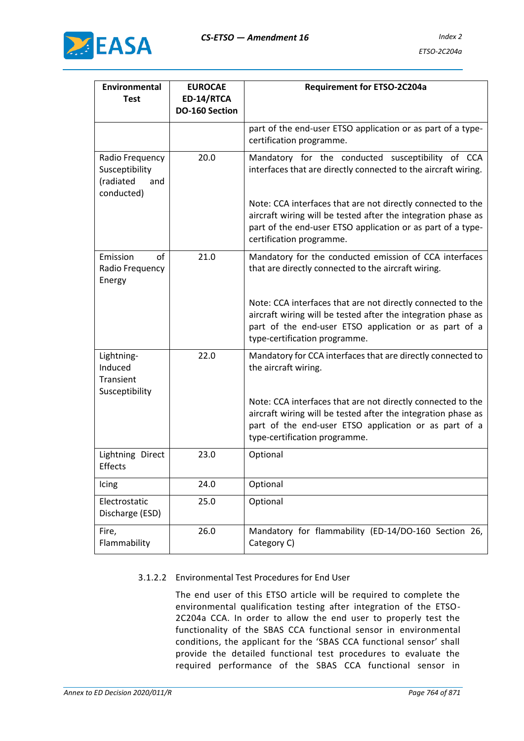

| Environmental<br><b>Test</b>                                        | <b>EUROCAE</b><br>ED-14/RTCA<br>DO-160 Section | Requirement for ETSO-2C204a                                                                                                                                                                                                                                                                                                                    |
|---------------------------------------------------------------------|------------------------------------------------|------------------------------------------------------------------------------------------------------------------------------------------------------------------------------------------------------------------------------------------------------------------------------------------------------------------------------------------------|
|                                                                     |                                                | part of the end-user ETSO application or as part of a type-<br>certification programme.                                                                                                                                                                                                                                                        |
| Radio Frequency<br>Susceptibility<br>(radiated<br>and<br>conducted) | 20.0                                           | Mandatory for the conducted susceptibility of CCA<br>interfaces that are directly connected to the aircraft wiring.<br>Note: CCA interfaces that are not directly connected to the<br>aircraft wiring will be tested after the integration phase as<br>part of the end-user ETSO application or as part of a type-<br>certification programme. |
| Emission<br>of<br>Radio Frequency<br>Energy                         | 21.0                                           | Mandatory for the conducted emission of CCA interfaces<br>that are directly connected to the aircraft wiring.<br>Note: CCA interfaces that are not directly connected to the<br>aircraft wiring will be tested after the integration phase as<br>part of the end-user ETSO application or as part of a<br>type-certification programme.        |
| Lightning-<br>Induced<br>Transient<br>Susceptibility                | 22.0                                           | Mandatory for CCA interfaces that are directly connected to<br>the aircraft wiring.<br>Note: CCA interfaces that are not directly connected to the<br>aircraft wiring will be tested after the integration phase as<br>part of the end-user ETSO application or as part of a<br>type-certification programme.                                  |
| Lightning Direct<br>Effects                                         | 23.0                                           | Optional                                                                                                                                                                                                                                                                                                                                       |
| Icing                                                               | 24.0                                           | Optional                                                                                                                                                                                                                                                                                                                                       |
| Electrostatic<br>Discharge (ESD)                                    | 25.0                                           | Optional                                                                                                                                                                                                                                                                                                                                       |
| Fire,<br>Flammability                                               | 26.0                                           | Mandatory for flammability (ED-14/DO-160 Section 26,<br>Category C)                                                                                                                                                                                                                                                                            |

#### 3.1.2.2 Environmental Test Procedures for End User

The end user of this ETSO article will be required to complete the environmental qualification testing after integration of the ETSO-2C204a CCA. In order to allow the end user to properly test the functionality of the SBAS CCA functional sensor in environmental conditions, the applicant for the 'SBAS CCA functional sensor' shall provide the detailed functional test procedures to evaluate the required performance of the SBAS CCA functional sensor in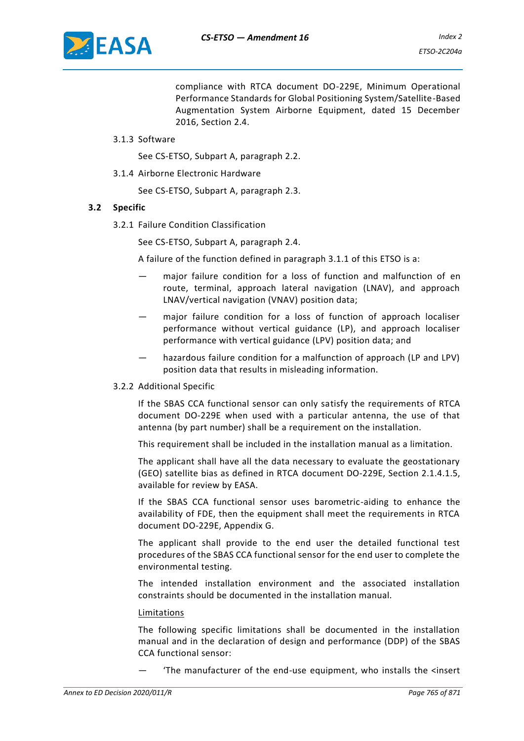

compliance with RTCA document DO-229E, Minimum Operational Performance Standards for Global Positioning System/Satellite-Based Augmentation System Airborne Equipment, dated 15 December 2016, Section 2.4.

#### 3.1.3 Software

See CS-ETSO, Subpart A, paragraph 2.2.

3.1.4 Airborne Electronic Hardware

See CS-ETSO, Subpart A, paragraph 2.3.

#### **3.2 Specific**

3.2.1 Failure Condition Classification

See CS-ETSO, Subpart A, paragraph 2.4.

A failure of the function defined in paragraph 3.1.1 of this ETSO is a:

- major failure condition for a loss of function and malfunction of en route, terminal, approach lateral navigation (LNAV), and approach LNAV/vertical navigation (VNAV) position data;
- major failure condition for a loss of function of approach localiser performance without vertical guidance (LP), and approach localiser performance with vertical guidance (LPV) position data; and
- hazardous failure condition for a malfunction of approach (LP and LPV) position data that results in misleading information.

#### 3.2.2 Additional Specific

If the SBAS CCA functional sensor can only satisfy the requirements of RTCA document DO-229E when used with a particular antenna, the use of that antenna (by part number) shall be a requirement on the installation.

This requirement shall be included in the installation manual as a limitation.

The applicant shall have all the data necessary to evaluate the geostationary (GEO) satellite bias as defined in RTCA document DO-229E, Section 2.1.4.1.5, available for review by EASA.

If the SBAS CCA functional sensor uses barometric-aiding to enhance the availability of FDE, then the equipment shall meet the requirements in RTCA document DO-229E, Appendix G.

The applicant shall provide to the end user the detailed functional test procedures of the SBAS CCA functional sensor for the end user to complete the environmental testing.

The intended installation environment and the associated installation constraints should be documented in the installation manual.

#### Limitations

The following specific limitations shall be documented in the installation manual and in the declaration of design and performance (DDP) of the SBAS CCA functional sensor:

— 'The manufacturer of the end-use equipment, who installs the <insert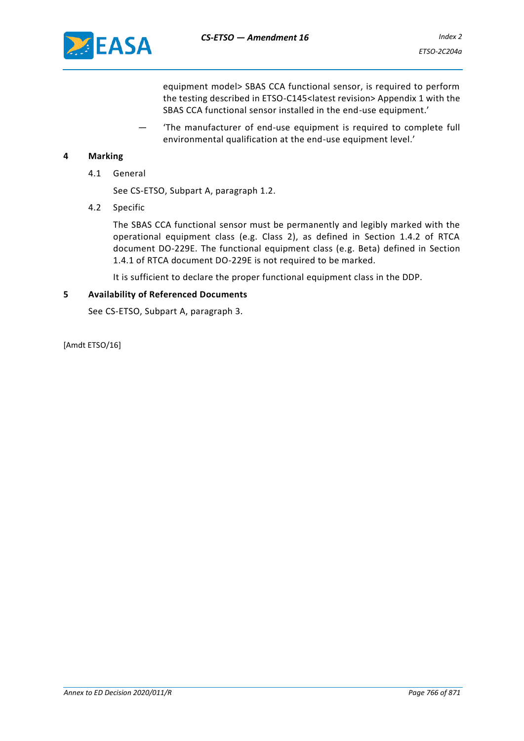

equipment model> SBAS CCA functional sensor, is required to perform the testing described in ETSO-C145<latest revision> Appendix 1 with the SBAS CCA functional sensor installed in the end-use equipment.'

— 'The manufacturer of end-use equipment is required to complete full environmental qualification at the end-use equipment level.'

#### **4 Marking**

4.1 General

See CS-ETSO, Subpart A, paragraph 1.2.

4.2 Specific

The SBAS CCA functional sensor must be permanently and legibly marked with the operational equipment class (e.g. Class 2), as defined in Section 1.4.2 of RTCA document DO-229E. The functional equipment class (e.g. Beta) defined in Section 1.4.1 of RTCA document DO-229E is not required to be marked.

It is sufficient to declare the proper functional equipment class in the DDP.

#### **5 Availability of Referenced Documents**

See CS-ETSO, Subpart A, paragraph 3.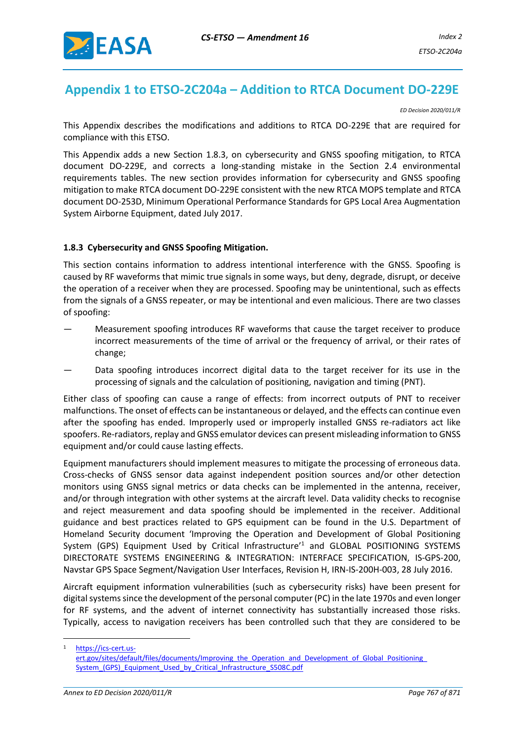

# **Appendix 1 to ETSO-2C204a – Addition to RTCA Document DO-229E**

*ED Decision 2020/011/R*

This Appendix describes the modifications and additions to RTCA DO-229E that are required for compliance with this ETSO.

This Appendix adds a new Section 1.8.3, on cybersecurity and GNSS spoofing mitigation, to RTCA document DO-229E, and corrects a long-standing mistake in the Section 2.4 environmental requirements tables. The new section provides information for cybersecurity and GNSS spoofing mitigation to make RTCA document DO-229E consistent with the new RTCA MOPS template and RTCA document DO-253D, Minimum Operational Performance Standards for GPS Local Area Augmentation System Airborne Equipment, dated July 2017.

#### **1.8.3 Cybersecurity and GNSS Spoofing Mitigation.**

This section contains information to address intentional interference with the GNSS. Spoofing is caused by RF waveforms that mimic true signals in some ways, but deny, degrade, disrupt, or deceive the operation of a receiver when they are processed. Spoofing may be unintentional, such as effects from the signals of a GNSS repeater, or may be intentional and even malicious. There are two classes of spoofing:

- Measurement spoofing introduces RF waveforms that cause the target receiver to produce incorrect measurements of the time of arrival or the frequency of arrival, or their rates of change;
- Data spoofing introduces incorrect digital data to the target receiver for its use in the processing of signals and the calculation of positioning, navigation and timing (PNT).

Either class of spoofing can cause a range of effects: from incorrect outputs of PNT to receiver malfunctions. The onset of effects can be instantaneous or delayed, and the effects can continue even after the spoofing has ended. Improperly used or improperly installed GNSS re-radiators act like spoofers. Re-radiators, replay and GNSS emulator devices can present misleading information to GNSS equipment and/or could cause lasting effects.

Equipment manufacturers should implement measures to mitigate the processing of erroneous data. Cross-checks of GNSS sensor data against independent position sources and/or other detection monitors using GNSS signal metrics or data checks can be implemented in the antenna, receiver, and/or through integration with other systems at the aircraft level. Data validity checks to recognise and reject measurement and data spoofing should be implemented in the receiver. Additional guidance and best practices related to GPS equipment can be found in the U.S. Department of Homeland Security document 'Improving the Operation and Development of Global Positioning System (GPS) Equipment Used by Critical Infrastructure'<sup>1</sup> and GLOBAL POSITIONING SYSTEMS DIRECTORATE SYSTEMS ENGINEERING & INTEGRATION: INTERFACE SPECIFICATION, IS-GPS-200, Navstar GPS Space Segment/Navigation User Interfaces, Revision H, IRN-IS-200H-003, 28 July 2016.

Aircraft equipment information vulnerabilities (such as cybersecurity risks) have been present for digital systems since the development of the personal computer (PC) in the late 1970s and even longer for RF systems, and the advent of internet connectivity has substantially increased those risks. Typically, access to navigation receivers has been controlled such that they are considered to be

[https://ics-cert.us-](https://ics-cert.us-ert.gov/sites/default/files/documents/Improving_the_Operation_and_Development_of_Global_Positioning_%20System_(GPS)_Equipment_Used_by_Critical_Infrastructure_S508C.pdf)

ert.gov/sites/default/files/documents/Improving\_the\_Operation\_and\_Development\_of\_Global\_Positioning [System\\_\(GPS\)\\_Equipment\\_Used\\_by\\_Critical\\_Infrastructure\\_S508C.pdf](https://ics-cert.us-ert.gov/sites/default/files/documents/Improving_the_Operation_and_Development_of_Global_Positioning_%20System_(GPS)_Equipment_Used_by_Critical_Infrastructure_S508C.pdf)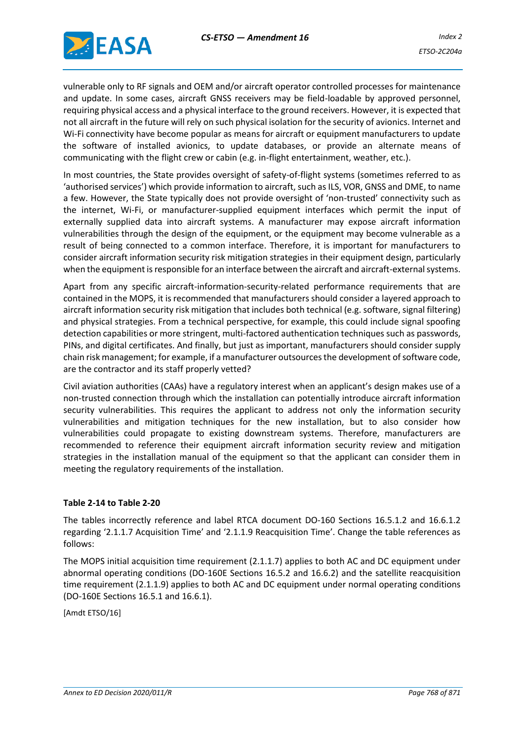

vulnerable only to RF signals and OEM and/or aircraft operator controlled processes for maintenance and update. In some cases, aircraft GNSS receivers may be field-loadable by approved personnel, requiring physical access and a physical interface to the ground receivers. However, it is expected that not all aircraft in the future will rely on such physical isolation for the security of avionics. Internet and Wi-Fi connectivity have become popular as means for aircraft or equipment manufacturers to update the software of installed avionics, to update databases, or provide an alternate means of communicating with the flight crew or cabin (e.g. in-flight entertainment, weather, etc.).

In most countries, the State provides oversight of safety-of-flight systems (sometimes referred to as 'authorised services') which provide information to aircraft, such as ILS, VOR, GNSS and DME, to name a few. However, the State typically does not provide oversight of 'non-trusted' connectivity such as the internet, Wi-Fi, or manufacturer-supplied equipment interfaces which permit the input of externally supplied data into aircraft systems. A manufacturer may expose aircraft information vulnerabilities through the design of the equipment, or the equipment may become vulnerable as a result of being connected to a common interface. Therefore, it is important for manufacturers to consider aircraft information security risk mitigation strategies in their equipment design, particularly when the equipment is responsible for an interface between the aircraft and aircraft-external systems.

Apart from any specific aircraft-information-security-related performance requirements that are contained in the MOPS, it is recommended that manufacturers should consider a layered approach to aircraft information security risk mitigation that includes both technical (e.g. software, signal filtering) and physical strategies. From a technical perspective, for example, this could include signal spoofing detection capabilities or more stringent, multi-factored authentication techniques such as passwords, PINs, and digital certificates. And finally, but just as important, manufacturers should consider supply chain risk management; for example, if a manufacturer outsources the development of software code, are the contractor and its staff properly vetted?

Civil aviation authorities (CAAs) have a regulatory interest when an applicant's design makes use of a non-trusted connection through which the installation can potentially introduce aircraft information security vulnerabilities. This requires the applicant to address not only the information security vulnerabilities and mitigation techniques for the new installation, but to also consider how vulnerabilities could propagate to existing downstream systems. Therefore, manufacturers are recommended to reference their equipment aircraft information security review and mitigation strategies in the installation manual of the equipment so that the applicant can consider them in meeting the regulatory requirements of the installation.

#### **Table 2-14 to Table 2-20**

The tables incorrectly reference and label RTCA document DO-160 Sections 16.5.1.2 and 16.6.1.2 regarding '2.1.1.7 Acquisition Time' and '2.1.1.9 Reacquisition Time'. Change the table references as follows:

The MOPS initial acquisition time requirement (2.1.1.7) applies to both AC and DC equipment under abnormal operating conditions (DO-160E Sections 16.5.2 and 16.6.2) and the satellite reacquisition time requirement (2.1.1.9) applies to both AC and DC equipment under normal operating conditions (DO-160E Sections 16.5.1 and 16.6.1).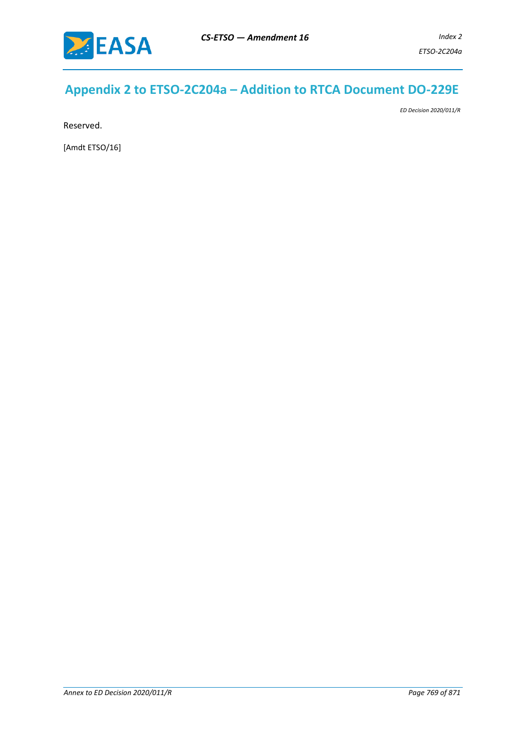

# **Appendix 2 to ETSO-2C204a – Addition to RTCA Document DO-229E**

*ED Decision 2020/011/R*

Reserved.